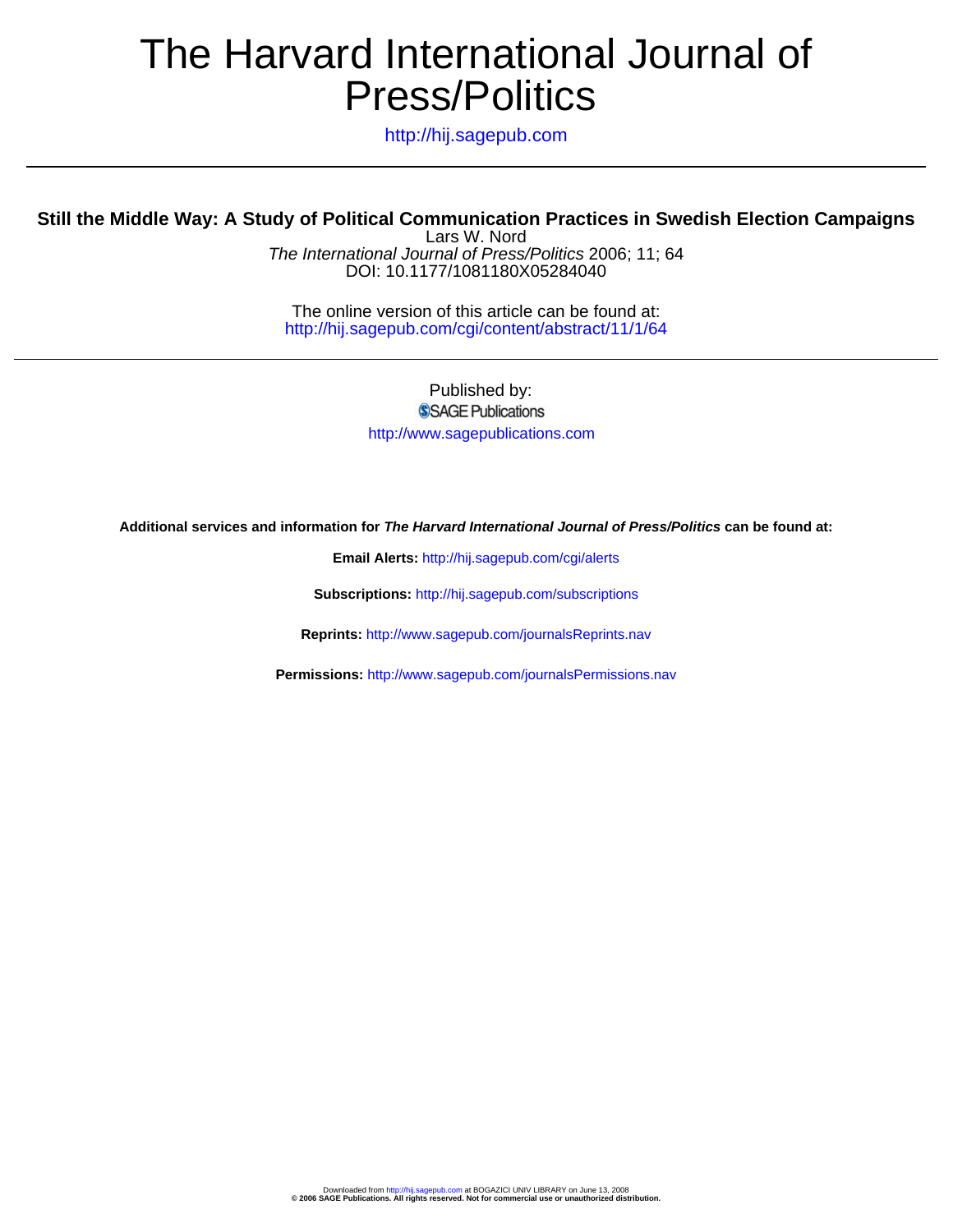# Press/Politics The Harvard International Journal of

http://hij.sagepub.com

### **Still the Middle Way: A Study of Political Communication Practices in Swedish Election Campaigns**

DOI: 10.1177/1081180X05284040 The International Journal of Press/Politics 2006; 11; 64 Lars W. Nord

http://hij.sagepub.com/cgi/content/abstract/11/1/64 The online version of this article can be found at:

> Published by: SSAGE Publications http://www.sagepublications.com

**Additional services and information for The Harvard International Journal of Press/Politics can be found at:**

**Email Alerts:** <http://hij.sagepub.com/cgi/alerts>

**Subscriptions:** <http://hij.sagepub.com/subscriptions>

**Reprints:** <http://www.sagepub.com/journalsReprints.nav>

**Permissions:** <http://www.sagepub.com/journalsPermissions.nav>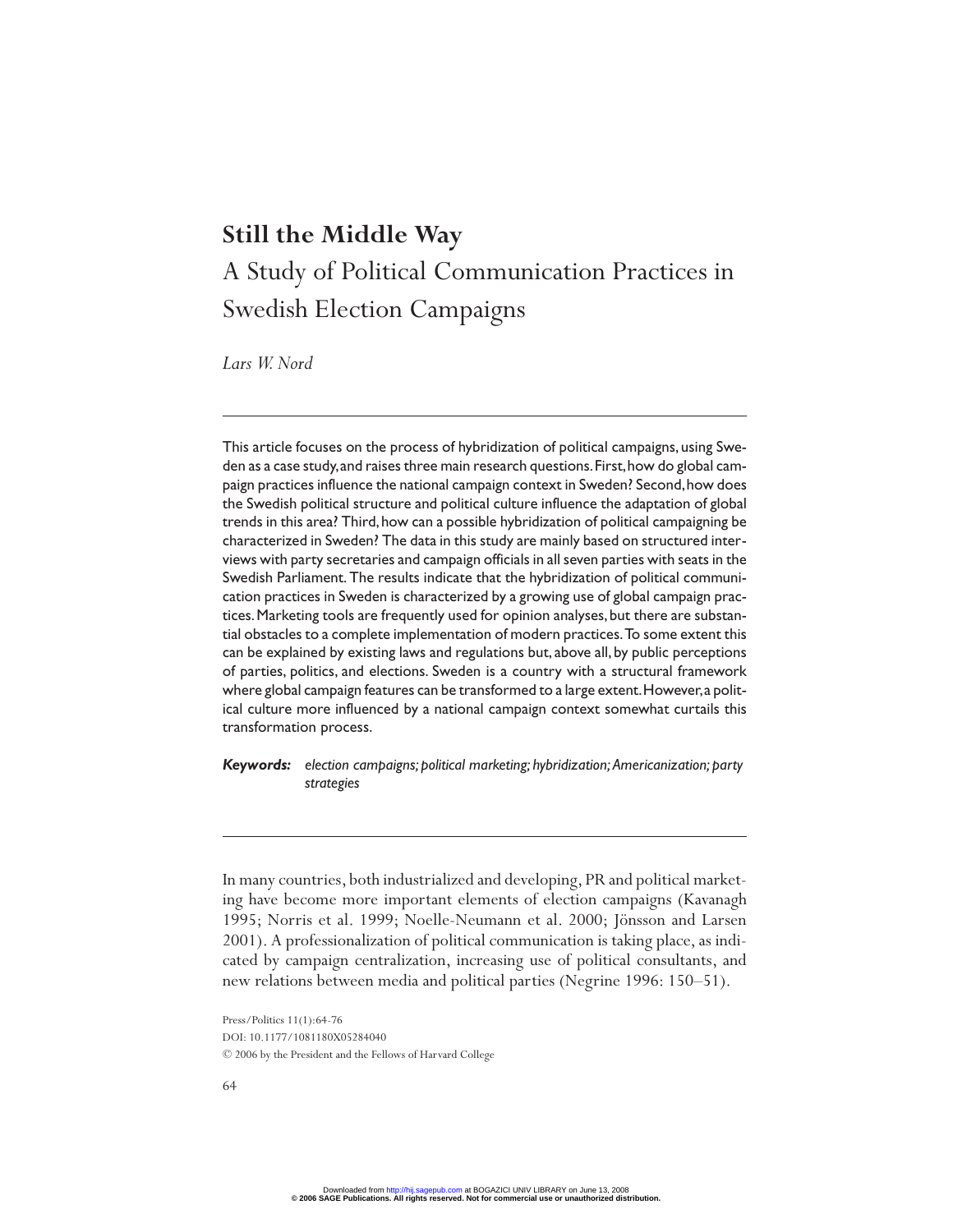## **Still the Middle Way** A Study of Political Communication Practices in Swedish Election Campaigns

*Lars W. Nord*

This article focuses on the process of hybridization of political campaigns, using Sweden as a case study,and raises three main research questions.First,how do global campaign practices influence the national campaign context in Sweden? Second,how does the Swedish political structure and political culture influence the adaptation of global trends in this area? Third,how can a possible hybridization of political campaigning be characterized in Sweden? The data in this study are mainly based on structured interviews with party secretaries and campaign officials in all seven parties with seats in the Swedish Parliament. The results indicate that the hybridization of political communication practices in Sweden is characterized by a growing use of global campaign practices. Marketing tools are frequently used for opinion analyses, but there are substantial obstacles to a complete implementation of modern practices.To some extent this can be explained by existing laws and regulations but, above all,by public perceptions of parties, politics, and elections. Sweden is a country with a structural framework where global campaign features can be transformed to a large extent. However, a political culture more influenced by a national campaign context somewhat curtails this transformation process.

*Keywords: election campaigns; political marketing; hybridization; Americanization; party strategies*

In many countries, both industrialized and developing, PR and political marketing have become more important elements of election campaigns (Kavanagh 1995; Norris et al. 1999; Noelle-Neumann et al. 2000; Jönsson and Larsen 2001). A professionalization of political communication is taking place, as indicated by campaign centralization, increasing use of political consultants, and new relations between media and political parties (Negrine 1996: 150–51).

Press/Politics 11(1):64-76 DOI: 10.1177/1081180X05284040 © 2006 by the President and the Fellows of Harvard College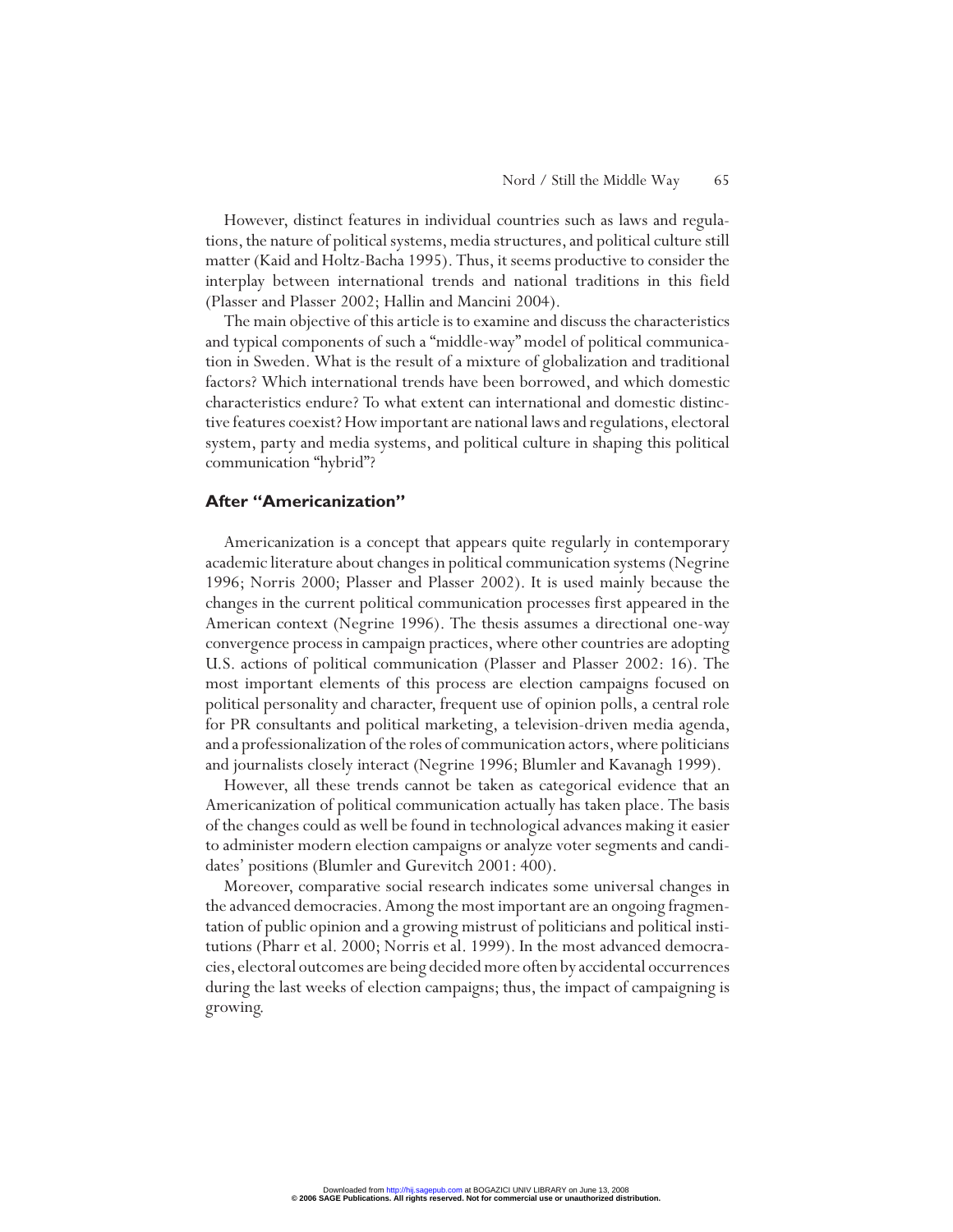However, distinct features in individual countries such as laws and regulations, the nature of political systems, media structures, and political culture still matter (Kaid and Holtz-Bacha 1995). Thus, it seems productive to consider the interplay between international trends and national traditions in this field (Plasser and Plasser 2002; Hallin and Mancini 2004).

The main objective of this article is to examine and discuss the characteristics and typical components of such a "middle-way" model of political communication in Sweden. What is the result of a mixture of globalization and traditional factors? Which international trends have been borrowed, and which domestic characteristics endure? To what extent can international and domestic distinctive features coexist? How important are national laws and regulations, electoral system, party and media systems, and political culture in shaping this political communication "hybrid"?

#### **After "Americanization"**

Americanization is a concept that appears quite regularly in contemporary academic literature about changes in political communication systems (Negrine 1996; Norris 2000; Plasser and Plasser 2002). It is used mainly because the changes in the current political communication processes first appeared in the American context (Negrine 1996). The thesis assumes a directional one-way convergence process in campaign practices, where other countries are adopting U.S. actions of political communication (Plasser and Plasser 2002: 16). The most important elements of this process are election campaigns focused on political personality and character, frequent use of opinion polls, a central role for PR consultants and political marketing, a television-driven media agenda, and a professionalization of the roles of communication actors, where politicians and journalists closely interact (Negrine 1996; Blumler and Kavanagh 1999).

However, all these trends cannot be taken as categorical evidence that an Americanization of political communication actually has taken place. The basis of the changes could as well be found in technological advances making it easier to administer modern election campaigns or analyze voter segments and candidates' positions (Blumler and Gurevitch 2001: 400).

Moreover, comparative social research indicates some universal changes in the advanced democracies. Among the most important are an ongoing fragmentation of public opinion and a growing mistrust of politicians and political institutions (Pharr et al. 2000; Norris et al. 1999). In the most advanced democracies, electoral outcomes are being decided more often by accidental occurrences during the last weeks of election campaigns; thus, the impact of campaigning is growing.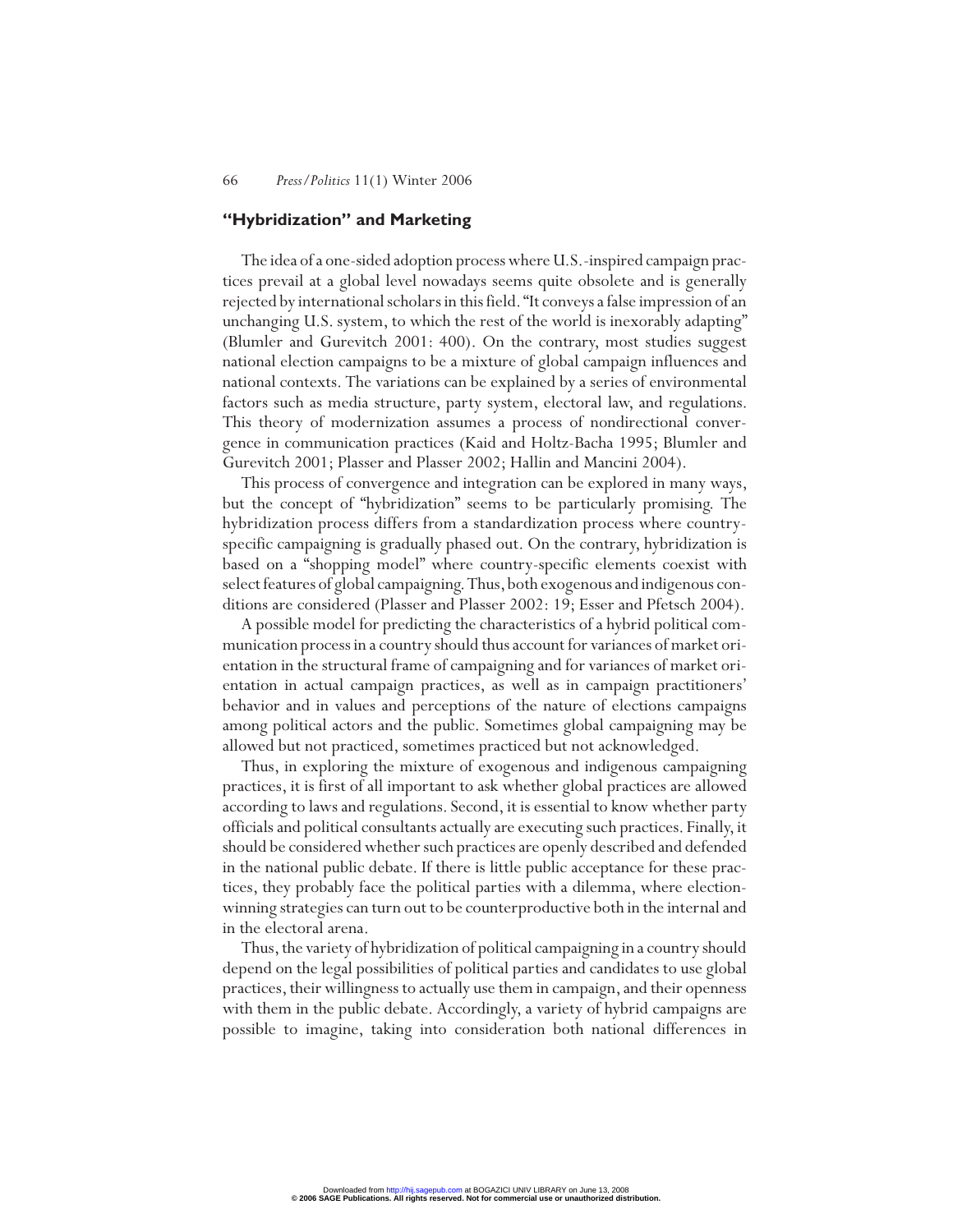#### **"Hybridization" and Marketing**

The idea of a one-sided adoption process where U.S.-inspired campaign practices prevail at a global level nowadays seems quite obsolete and is generally rejected by international scholars in this field."It conveys a false impression of an unchanging U.S. system, to which the rest of the world is inexorably adapting" (Blumler and Gurevitch 2001: 400). On the contrary, most studies suggest national election campaigns to be a mixture of global campaign influences and national contexts. The variations can be explained by a series of environmental factors such as media structure, party system, electoral law, and regulations. This theory of modernization assumes a process of nondirectional convergence in communication practices (Kaid and Holtz-Bacha 1995; Blumler and Gurevitch 2001; Plasser and Plasser 2002; Hallin and Mancini 2004).

This process of convergence and integration can be explored in many ways, but the concept of "hybridization" seems to be particularly promising. The hybridization process differs from a standardization process where countryspecific campaigning is gradually phased out. On the contrary, hybridization is based on a "shopping model" where country-specific elements coexist with select features of global campaigning. Thus, both exogenous and indigenous conditions are considered (Plasser and Plasser 2002: 19; Esser and Pfetsch 2004).

A possible model for predicting the characteristics of a hybrid political communication process in a country should thus account for variances of market orientation in the structural frame of campaigning and for variances of market orientation in actual campaign practices, as well as in campaign practitioners' behavior and in values and perceptions of the nature of elections campaigns among political actors and the public. Sometimes global campaigning may be allowed but not practiced, sometimes practiced but not acknowledged.

Thus, in exploring the mixture of exogenous and indigenous campaigning practices, it is first of all important to ask whether global practices are allowed according to laws and regulations. Second, it is essential to know whether party officials and political consultants actually are executing such practices. Finally, it should be considered whether such practices are openly described and defended in the national public debate. If there is little public acceptance for these practices, they probably face the political parties with a dilemma, where electionwinning strategies can turn out to be counterproductive both in the internal and in the electoral arena.

Thus, the variety of hybridization of political campaigning in a country should depend on the legal possibilities of political parties and candidates to use global practices, their willingness to actually use them in campaign, and their openness with them in the public debate. Accordingly, a variety of hybrid campaigns are possible to imagine, taking into consideration both national differences in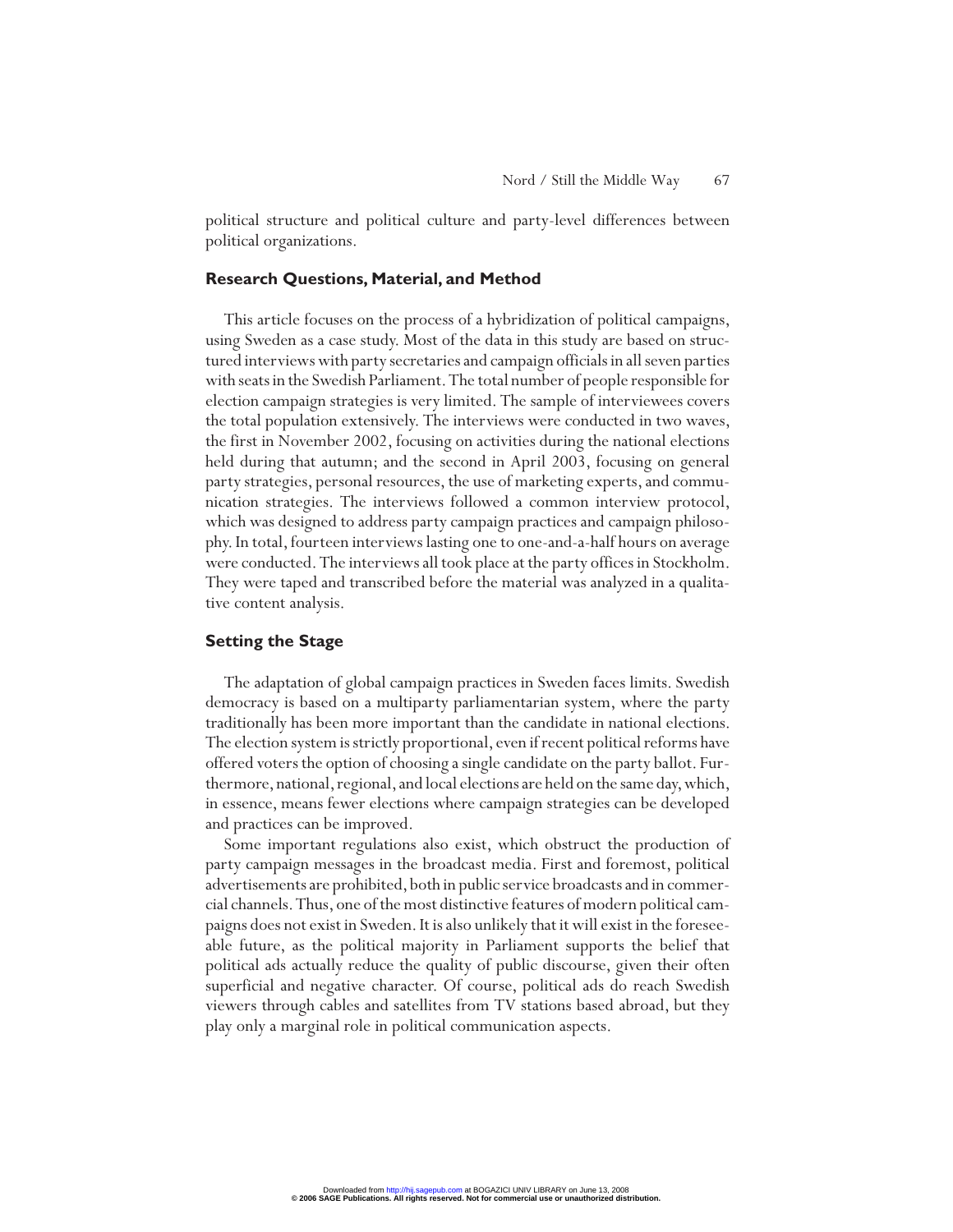political structure and political culture and party-level differences between political organizations.

#### **Research Questions, Material, and Method**

This article focuses on the process of a hybridization of political campaigns, using Sweden as a case study. Most of the data in this study are based on structured interviews with party secretaries and campaign officials in all seven parties with seats in the Swedish Parliament.The total number of people responsible for election campaign strategies is very limited. The sample of interviewees covers the total population extensively. The interviews were conducted in two waves, the first in November 2002, focusing on activities during the national elections held during that autumn; and the second in April 2003, focusing on general party strategies, personal resources, the use of marketing experts, and communication strategies. The interviews followed a common interview protocol, which was designed to address party campaign practices and campaign philosophy. In total, fourteen interviews lasting one to one-and-a-half hours on average were conducted. The interviews all took place at the party offices in Stockholm. They were taped and transcribed before the material was analyzed in a qualitative content analysis.

#### **Setting the Stage**

The adaptation of global campaign practices in Sweden faces limits. Swedish democracy is based on a multiparty parliamentarian system, where the party traditionally has been more important than the candidate in national elections. The election system is strictly proportional, even if recent political reforms have offered voters the option of choosing a single candidate on the party ballot. Furthermore, national, regional, and local elections are held on the same day, which, in essence, means fewer elections where campaign strategies can be developed and practices can be improved.

Some important regulations also exist, which obstruct the production of party campaign messages in the broadcast media. First and foremost, political advertisements are prohibited, both in public service broadcasts and in commercial channels.Thus,one of the most distinctive features of modern political campaigns does not exist in Sweden. It is also unlikely that it will exist in the foreseeable future, as the political majority in Parliament supports the belief that political ads actually reduce the quality of public discourse, given their often superficial and negative character. Of course, political ads do reach Swedish viewers through cables and satellites from TV stations based abroad, but they play only a marginal role in political communication aspects.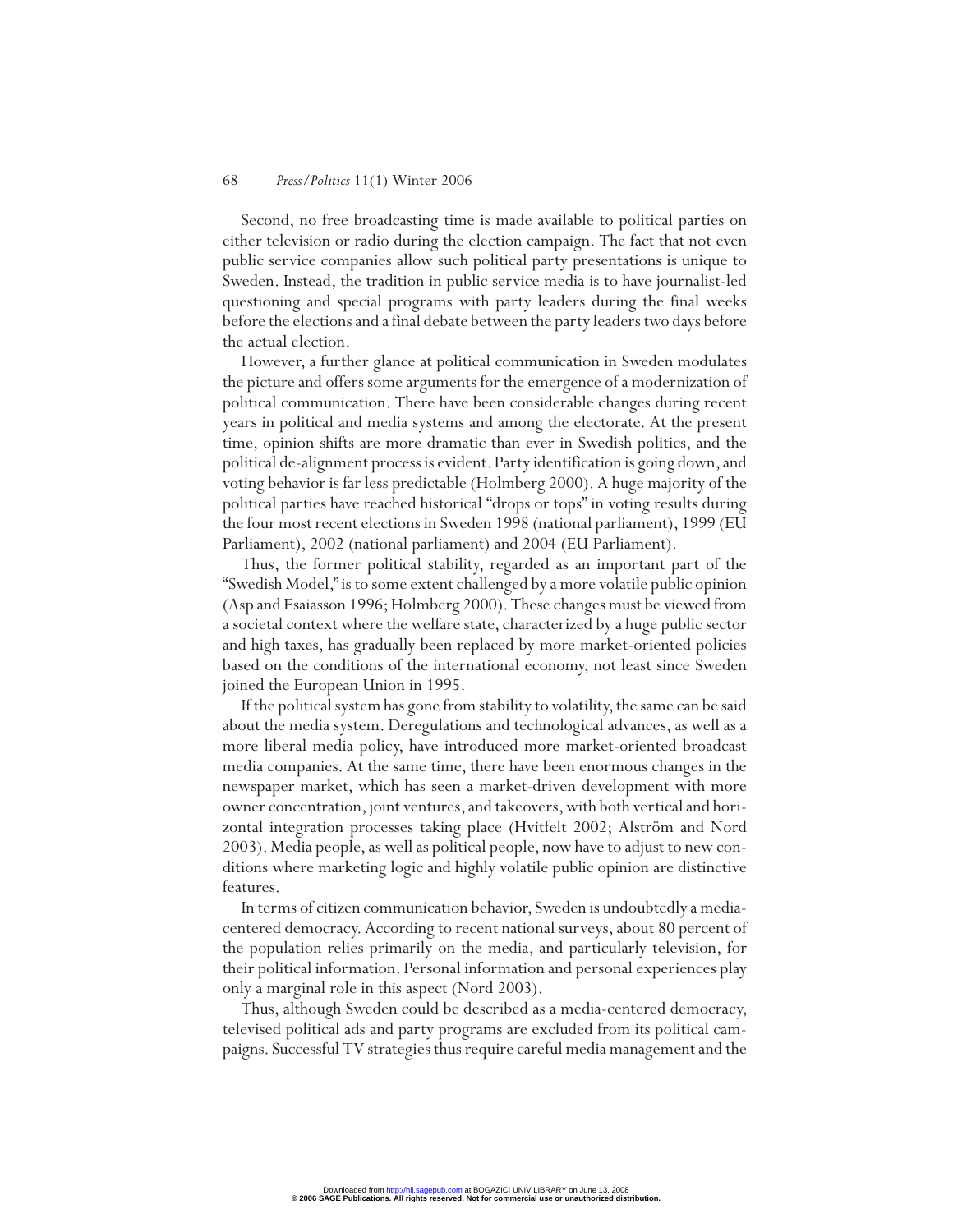Second, no free broadcasting time is made available to political parties on either television or radio during the election campaign. The fact that not even public service companies allow such political party presentations is unique to Sweden. Instead, the tradition in public service media is to have journalist-led questioning and special programs with party leaders during the final weeks before the elections and a final debate between the party leaders two days before the actual election.

However, a further glance at political communication in Sweden modulates the picture and offers some arguments for the emergence of a modernization of political communication. There have been considerable changes during recent years in political and media systems and among the electorate. At the present time, opinion shifts are more dramatic than ever in Swedish politics, and the political de-alignment process is evident. Party identification is going down, and voting behavior is far less predictable (Holmberg 2000). A huge majority of the political parties have reached historical "drops or tops" in voting results during the four most recent elections in Sweden 1998 (national parliament), 1999 (EU Parliament), 2002 (national parliament) and 2004 (EU Parliament).

Thus, the former political stability, regarded as an important part of the "Swedish Model," is to some extent challenged by a more volatile public opinion (Asp and Esaiasson 1996; Holmberg 2000). These changes must be viewed from a societal context where the welfare state, characterized by a huge public sector and high taxes, has gradually been replaced by more market-oriented policies based on the conditions of the international economy, not least since Sweden joined the European Union in 1995.

If the political system has gone from stability to volatility, the same can be said about the media system. Deregulations and technological advances, as well as a more liberal media policy, have introduced more market-oriented broadcast media companies. At the same time, there have been enormous changes in the newspaper market, which has seen a market-driven development with more owner concentration, joint ventures, and takeovers, with both vertical and horizontal integration processes taking place (Hvitfelt 2002; Alström and Nord 2003). Media people, as well as political people, now have to adjust to new conditions where marketing logic and highly volatile public opinion are distinctive features.

In terms of citizen communication behavior, Sweden is undoubtedly a mediacentered democracy. According to recent national surveys, about 80 percent of the population relies primarily on the media, and particularly television, for their political information. Personal information and personal experiences play only a marginal role in this aspect (Nord 2003).

Thus, although Sweden could be described as a media-centered democracy, televised political ads and party programs are excluded from its political campaigns. Successful TV strategies thus require careful media management and the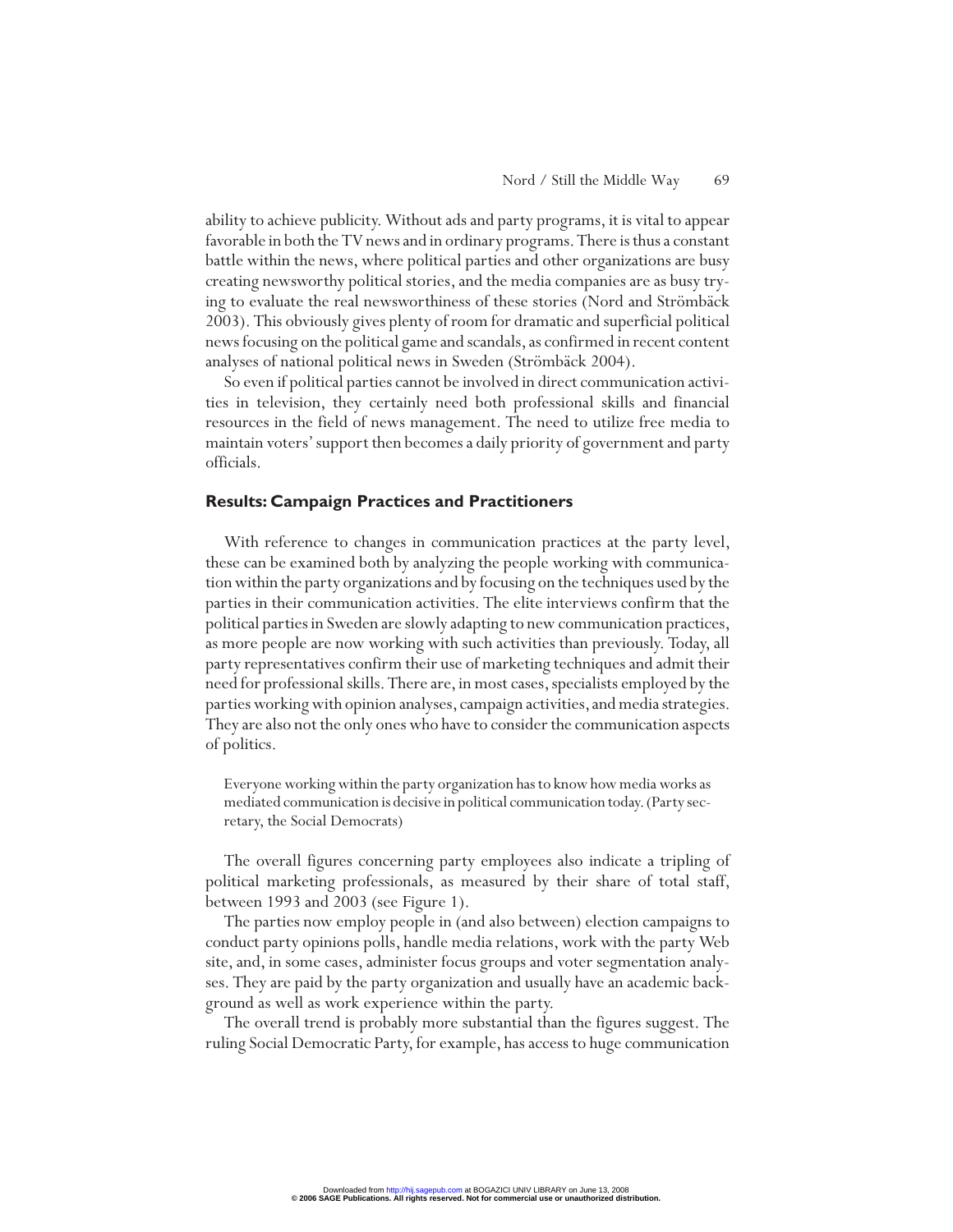ability to achieve publicity. Without ads and party programs, it is vital to appear favorable in both the TV news and in ordinary programs.There is thus a constant battle within the news, where political parties and other organizations are busy creating newsworthy political stories, and the media companies are as busy trying to evaluate the real newsworthiness of these stories (Nord and Strömbäck 2003). This obviously gives plenty of room for dramatic and superficial political news focusing on the political game and scandals, as confirmed in recent content analyses of national political news in Sweden (Strömbäck 2004).

So even if political parties cannot be involved in direct communication activities in television, they certainly need both professional skills and financial resources in the field of news management. The need to utilize free media to maintain voters' support then becomes a daily priority of government and party officials.

#### **Results: Campaign Practices and Practitioners**

With reference to changes in communication practices at the party level, these can be examined both by analyzing the people working with communication within the party organizations and by focusing on the techniques used by the parties in their communication activities. The elite interviews confirm that the political parties in Sweden are slowly adapting to new communication practices, as more people are now working with such activities than previously. Today, all party representatives confirm their use of marketing techniques and admit their need for professional skills. There are, in most cases, specialists employed by the parties working with opinion analyses, campaign activities, and media strategies. They are also not the only ones who have to consider the communication aspects of politics.

Everyone working within the party organization has to know how media works as mediated communication is decisive in political communication today.(Party secretary, the Social Democrats)

The overall figures concerning party employees also indicate a tripling of political marketing professionals, as measured by their share of total staff, between 1993 and 2003 (see Figure 1).

The parties now employ people in (and also between) election campaigns to conduct party opinions polls, handle media relations, work with the party Web site, and, in some cases, administer focus groups and voter segmentation analyses. They are paid by the party organization and usually have an academic background as well as work experience within the party.

The overall trend is probably more substantial than the figures suggest. The ruling Social Democratic Party, for example, has access to huge communication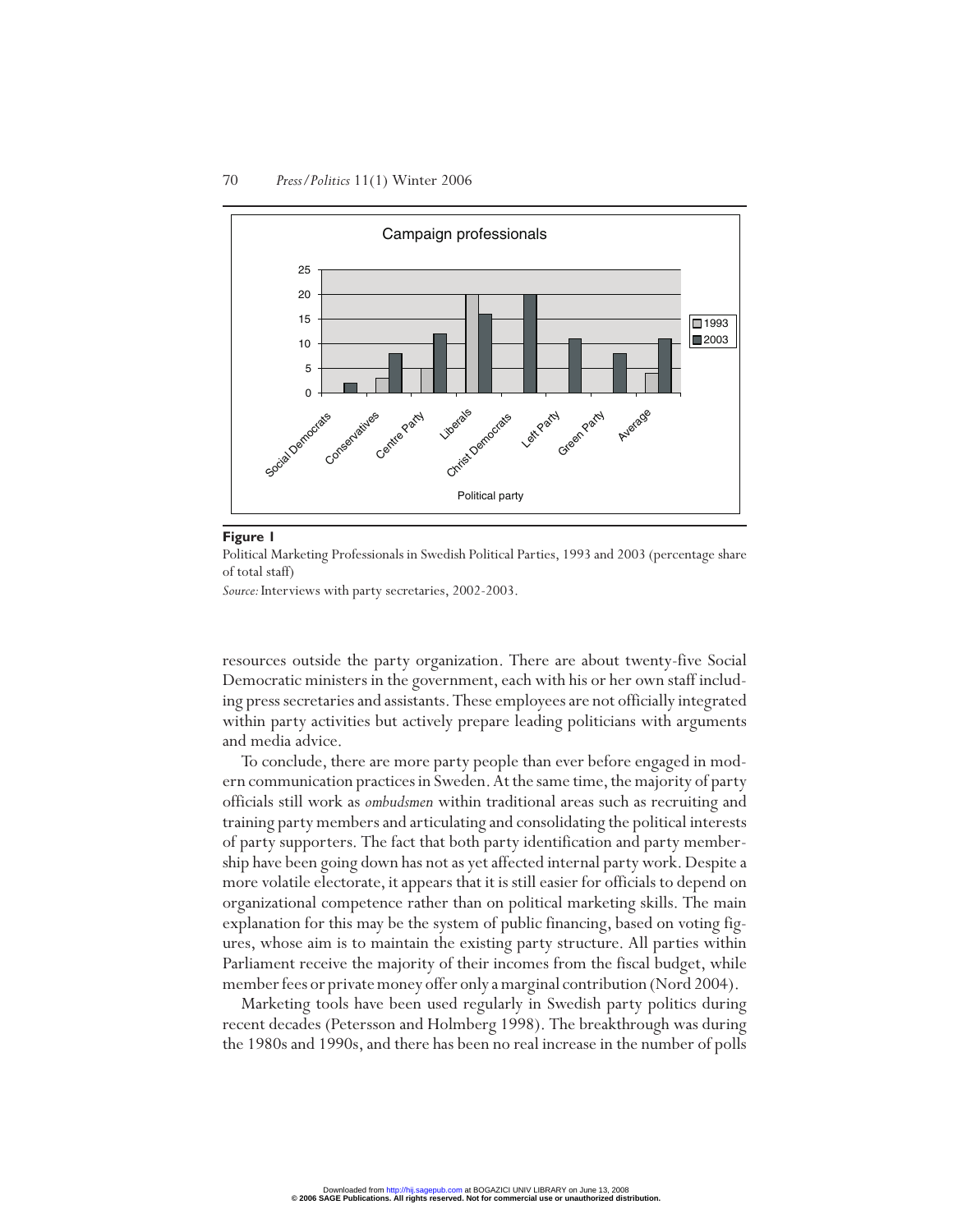

#### **Figure 1**

Political Marketing Professionals in Swedish Political Parties, 1993 and 2003 (percentage share of total staff)

*Source:*Interviews with party secretaries, 2002-2003.

resources outside the party organization. There are about twenty-five Social Democratic ministers in the government, each with his or her own staff including press secretaries and assistants. These employees are not officially integrated within party activities but actively prepare leading politicians with arguments and media advice.

To conclude, there are more party people than ever before engaged in modern communication practices in Sweden. At the same time, the majority of party officials still work as *ombudsmen* within traditional areas such as recruiting and training party members and articulating and consolidating the political interests of party supporters. The fact that both party identification and party membership have been going down has not as yet affected internal party work. Despite a more volatile electorate, it appears that it is still easier for officials to depend on organizational competence rather than on political marketing skills. The main explanation for this may be the system of public financing, based on voting figures, whose aim is to maintain the existing party structure. All parties within Parliament receive the majority of their incomes from the fiscal budget, while member fees or private money offer only a marginal contribution (Nord 2004).

Marketing tools have been used regularly in Swedish party politics during recent decades (Petersson and Holmberg 1998). The breakthrough was during the 1980s and 1990s, and there has been no real increase in the number of polls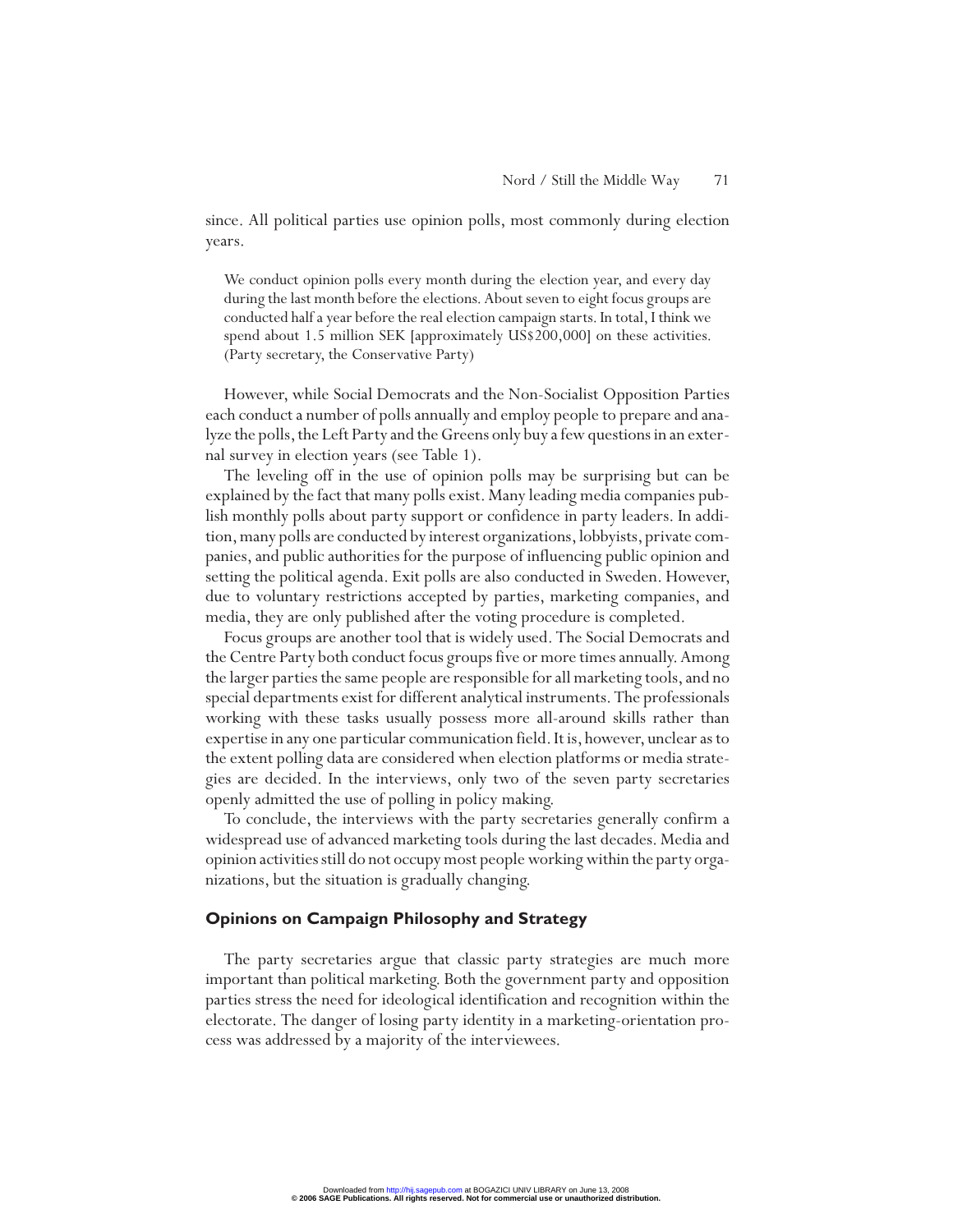since. All political parties use opinion polls, most commonly during election years.

We conduct opinion polls every month during the election year, and every day during the last month before the elections. About seven to eight focus groups are conducted half a year before the real election campaign starts. In total, I think we spend about 1.5 million SEK [approximately US\$200,000] on these activities. (Party secretary, the Conservative Party)

However, while Social Democrats and the Non-Socialist Opposition Parties each conduct a number of polls annually and employ people to prepare and analyze the polls, the Left Party and the Greens only buy a few questions in an external survey in election years (see Table 1).

The leveling off in the use of opinion polls may be surprising but can be explained by the fact that many polls exist. Many leading media companies publish monthly polls about party support or confidence in party leaders. In addition, many polls are conducted by interest organizations, lobbyists,private companies, and public authorities for the purpose of influencing public opinion and setting the political agenda. Exit polls are also conducted in Sweden. However, due to voluntary restrictions accepted by parties, marketing companies, and media, they are only published after the voting procedure is completed.

Focus groups are another tool that is widely used. The Social Democrats and the Centre Party both conduct focus groups five or more times annually. Among the larger parties the same people are responsible for all marketing tools, and no special departments exist for different analytical instruments. The professionals working with these tasks usually possess more all-around skills rather than expertise in any one particular communication field. It is, however, unclear as to the extent polling data are considered when election platforms or media strategies are decided. In the interviews, only two of the seven party secretaries openly admitted the use of polling in policy making.

To conclude, the interviews with the party secretaries generally confirm a widespread use of advanced marketing tools during the last decades. Media and opinion activities still do not occupy most people working within the party organizations, but the situation is gradually changing.

#### **Opinions on Campaign Philosophy and Strategy**

The party secretaries argue that classic party strategies are much more important than political marketing. Both the government party and opposition parties stress the need for ideological identification and recognition within the electorate. The danger of losing party identity in a marketing-orientation process was addressed by a majority of the interviewees.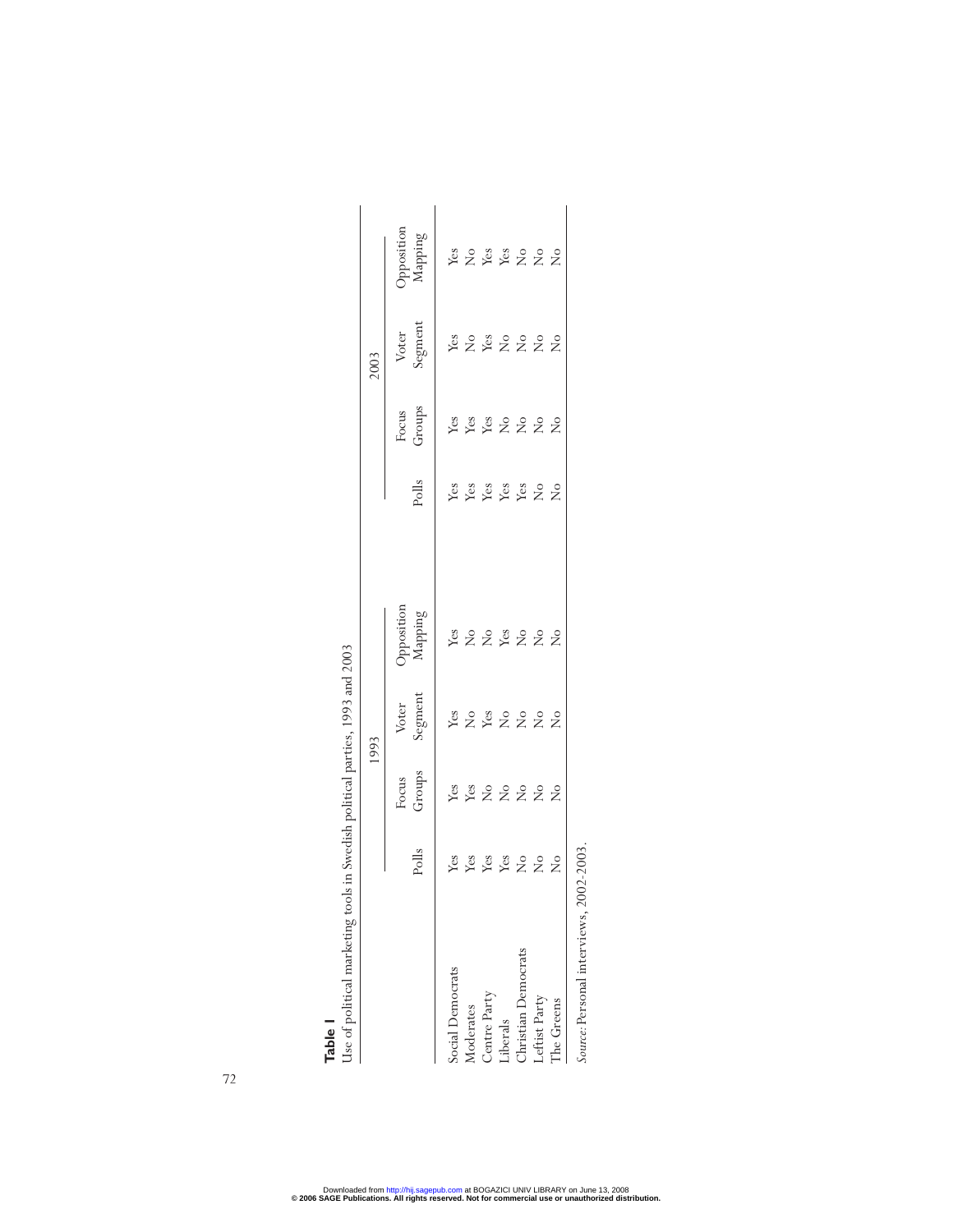|                            |                         |                 | 1993             |                         |                |                 | 2003             |                       |
|----------------------------|-------------------------|-----------------|------------------|-------------------------|----------------|-----------------|------------------|-----------------------|
|                            | Polls                   | Focus<br>Groups | Voter<br>Segment | $Opposition$<br>Napping | Polls          | Focus<br>Groups | Voter<br>Segment | Opposition<br>Mapping |
| <b>Social Democrats</b>    |                         |                 |                  |                         |                |                 |                  |                       |
| Moderates                  |                         |                 |                  |                         |                |                 |                  |                       |
| Centre Party               |                         |                 |                  |                         |                |                 |                  |                       |
| Liberals                   |                         |                 |                  |                         |                |                 |                  |                       |
| <b>Christian Democrats</b> | <b>Age &amp; Age 22</b> | 222222          | 222222           | 2222222                 | <b>ARAARAZ</b> | <b>SESSERE</b>  | x 2 x 2 2 2 2 2  |                       |
| Leftist Party              |                         |                 |                  |                         |                |                 |                  |                       |
| The Greens                 |                         |                 |                  |                         |                |                 |                  |                       |

Table 1 and the marketing tools in Swedish political parties, 1993 and 2003 Lise of political marketing tools in Swedish political parties, 1993 and 2003 Use of political marketing tools in Swedish political parties, 1993 and 2003

72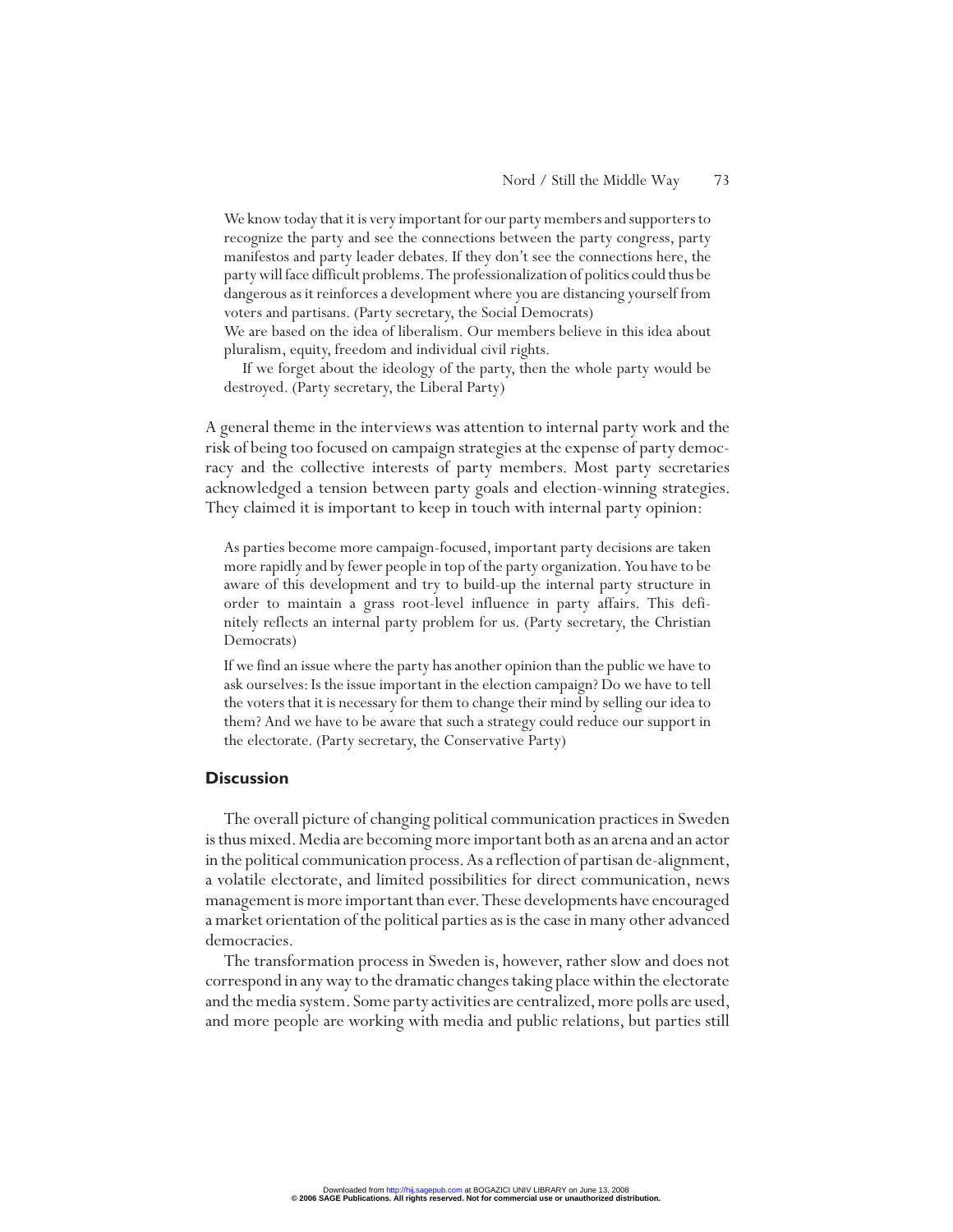We know today that it is very important for our party members and supporters to recognize the party and see the connections between the party congress, party manifestos and party leader debates. If they don't see the connections here, the party will face difficult problems.The professionalization of politics could thus be dangerous as it reinforces a development where you are distancing yourself from voters and partisans. (Party secretary, the Social Democrats) We are based on the idea of liberalism. Our members believe in this idea about

pluralism, equity, freedom and individual civil rights.

If we forget about the ideology of the party, then the whole party would be destroyed. (Party secretary, the Liberal Party)

A general theme in the interviews was attention to internal party work and the risk of being too focused on campaign strategies at the expense of party democracy and the collective interests of party members. Most party secretaries acknowledged a tension between party goals and election-winning strategies. They claimed it is important to keep in touch with internal party opinion:

As parties become more campaign-focused, important party decisions are taken more rapidly and by fewer people in top of the party organization. You have to be aware of this development and try to build-up the internal party structure in order to maintain a grass root-level influence in party affairs. This definitely reflects an internal party problem for us. (Party secretary, the Christian Democrats)

If we find an issue where the party has another opinion than the public we have to ask ourselves: Is the issue important in the election campaign? Do we have to tell the voters that it is necessary for them to change their mind by selling our idea to them? And we have to be aware that such a strategy could reduce our support in the electorate. (Party secretary, the Conservative Party)

#### **Discussion**

The overall picture of changing political communication practices in Sweden is thus mixed.Media are becoming more important both as an arena and an actor in the political communication process.As a reflection of partisan de-alignment, a volatile electorate, and limited possibilities for direct communication, news management is more important than ever.These developments have encouraged a market orientation of the political parties as is the case in many other advanced democracies.

The transformation process in Sweden is, however, rather slow and does not correspond in any way to the dramatic changes taking place within the electorate and the media system. Some party activities are centralized, more polls are used, and more people are working with media and public relations, but parties still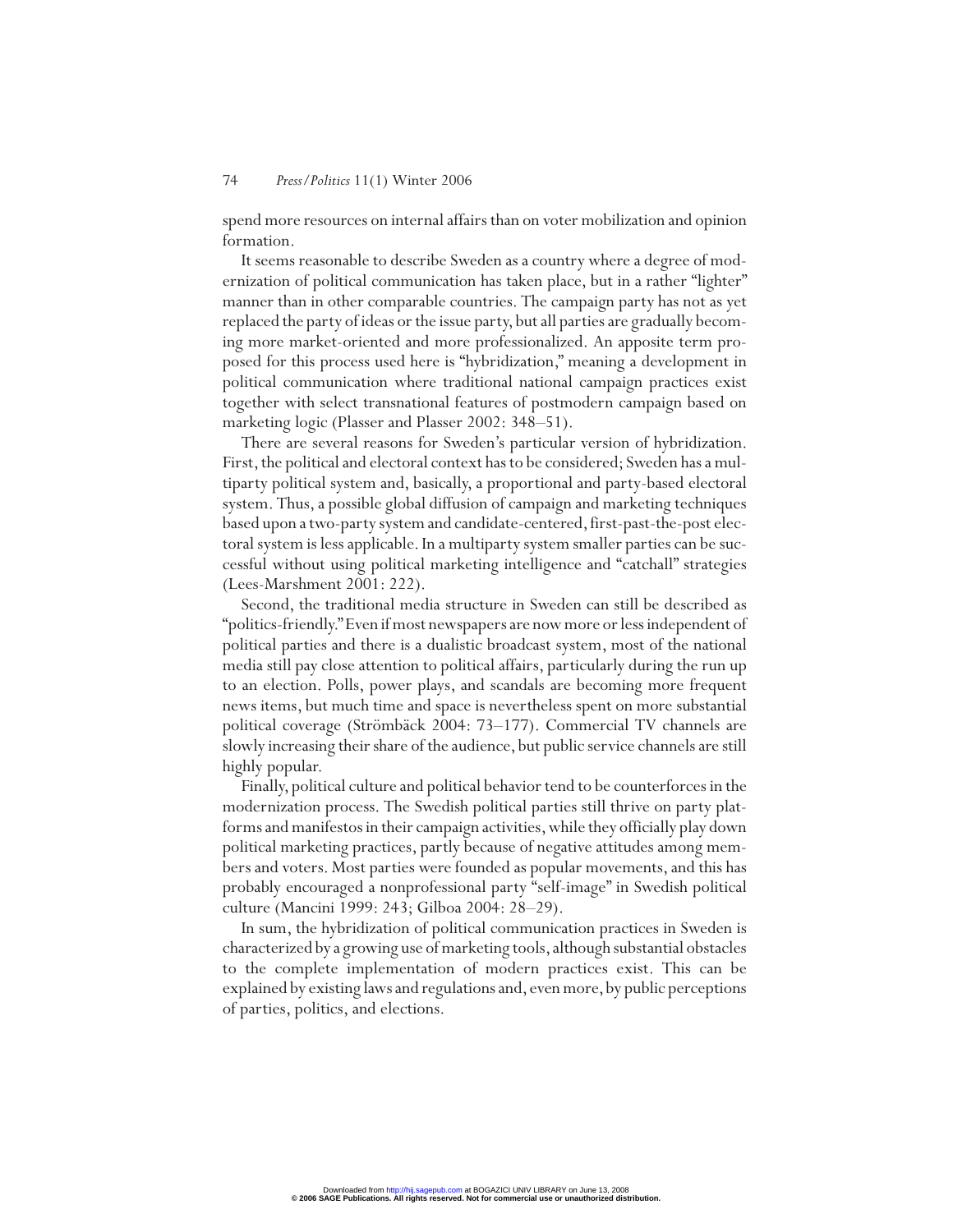spend more resources on internal affairs than on voter mobilization and opinion formation.

It seems reasonable to describe Sweden as a country where a degree of modernization of political communication has taken place, but in a rather "lighter" manner than in other comparable countries. The campaign party has not as yet replaced the party of ideas or the issue party,but all parties are gradually becoming more market-oriented and more professionalized. An apposite term proposed for this process used here is "hybridization," meaning a development in political communication where traditional national campaign practices exist together with select transnational features of postmodern campaign based on marketing logic (Plasser and Plasser 2002: 348–51).

There are several reasons for Sweden's particular version of hybridization. First, the political and electoral context has to be considered; Sweden has a multiparty political system and, basically, a proportional and party-based electoral system. Thus, a possible global diffusion of campaign and marketing techniques based upon a two-party system and candidate-centered,first-past-the-post electoral system is less applicable. In a multiparty system smaller parties can be successful without using political marketing intelligence and "catchall" strategies (Lees-Marshment 2001: 222).

Second, the traditional media structure in Sweden can still be described as "politics-friendly."Even if most newspapers are now more or less independent of political parties and there is a dualistic broadcast system, most of the national media still pay close attention to political affairs, particularly during the run up to an election. Polls, power plays, and scandals are becoming more frequent news items, but much time and space is nevertheless spent on more substantial political coverage (Strömbäck 2004: 73–177). Commercial TV channels are slowly increasing their share of the audience, but public service channels are still highly popular.

Finally, political culture and political behavior tend to be counterforces in the modernization process. The Swedish political parties still thrive on party platforms and manifestos in their campaign activities, while they officially play down political marketing practices, partly because of negative attitudes among members and voters. Most parties were founded as popular movements, and this has probably encouraged a nonprofessional party "self-image" in Swedish political culture (Mancini 1999: 243; Gilboa 2004: 28–29).

In sum, the hybridization of political communication practices in Sweden is characterized by a growing use of marketing tools, although substantial obstacles to the complete implementation of modern practices exist. This can be explained by existing laws and regulations and, even more, by public perceptions of parties, politics, and elections.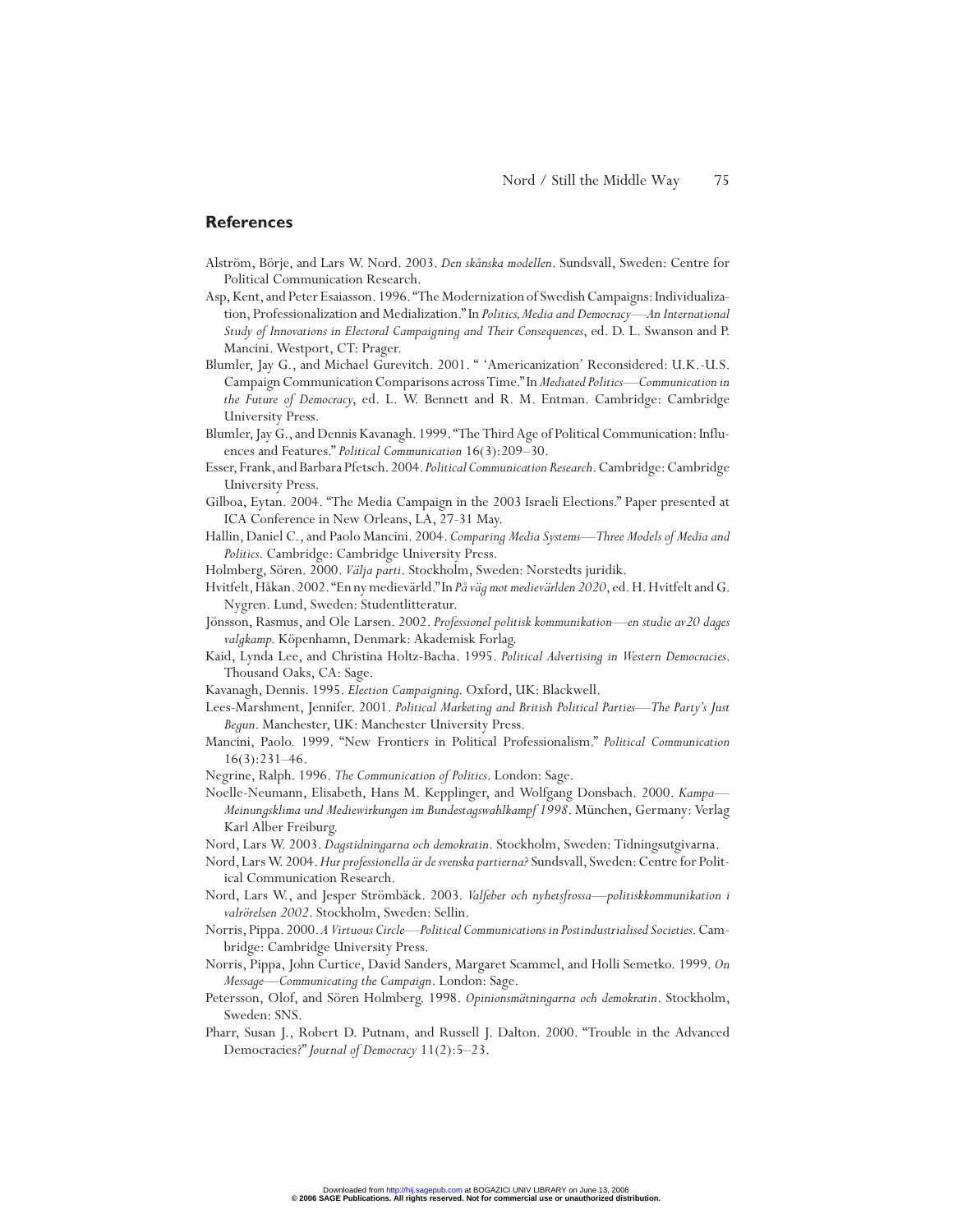#### **References**

- Alström, Börje, and Lars W. Nord. 2003. *Den skånska modellen*. Sundsvall, Sweden: Centre for Political Communication Research.
- Asp, Kent, and Peter Esaiasson. 1996. "The Modernization of Swedish Campaigns: Individualization, Professionalization and Medialization." In *Politics,Media and Democracy—An International Study of Innovations in Electoral Campaigning and Their Consequences*, ed. D. L. Swanson and P. Mancini. Westport, CT: Prager.
- Blumler, Jay G., and Michael Gurevitch. 2001. " 'Americanization' Reconsidered: U.K.-U.S. Campaign Communication Comparisons across Time."In*Mediated Politics—Communication in the Future of Democracy*, ed. L. W. Bennett and R. M. Entman. Cambridge: Cambridge University Press.
- Blumler, Jay G., and Dennis Kavanagh. 1999."The Third Age of Political Communication: Influences and Features." *Political Communication* 16(3):209–30.
- Esser,Frank,and Barbara Pfetsch.2004.*Political Communication Research*.Cambridge:Cambridge University Press.
- Gilboa, Eytan. 2004. "The Media Campaign in the 2003 Israeli Elections." Paper presented at ICA Conference in New Orleans, LA, 27-31 May.
- Hallin, Daniel C., and Paolo Mancini. 2004. *Comparing Media Systems—Three Models of Media and Politics*. Cambridge: Cambridge University Press.

Holmberg, Sören. 2000. *Välja parti*. Stockholm, Sweden: Norstedts juridik.

- Hvitfelt,Håkan.2002."En ny medievärld."In *På väg mot medievärlden 2020*,ed.H.Hvitfelt and G. Nygren. Lund, Sweden: Studentlitteratur.
- Jönsson, Rasmus, and Ole Larsen. 2002. *Professionel politisk kommunikation—en studie av20 dages valgkamp*. Köpenhamn, Denmark: Akademisk Forlag.
- Kaid, Lynda Lee, and Christina Holtz-Bacha. 1995. *Political Advertising in Western Democracies*. Thousand Oaks, CA: Sage.
- Kavanagh, Dennis. 1995. *Election Campaigning*. Oxford, UK: Blackwell.
- Lees-Marshment, Jennifer. 2001. *Political Marketing and British Political Parties—The Party's Just Begun*. Manchester, UK: Manchester University Press.
- Mancini, Paolo. 1999. "New Frontiers in Political Professionalism." *Political Communication* 16(3):231–46.
- Negrine, Ralph. 1996. *The Communication of Politics*. London: Sage.
- Noelle-Neumann, Elisabeth, Hans M. Kepplinger, and Wolfgang Donsbach. 2000. *Kampa— Meinungsklima und Mediewirkungen im Bundestagswahlkampf 1998*. München, Germany: Verlag Karl Alber Freiburg.
- Nord, Lars W. 2003. *Dagstidningarna och demokratin*. Stockholm, Sweden: Tidningsutgivarna.
- Nord, Lars W. 2004. Hur professionella är de svenska partierna? Sundsvall, Sweden: Centre for Political Communication Research.
- Nord, Lars W., and Jesper Strömbäck. 2003. *Valfeber och nyhetsfrossa—politiskkommunikation i valrörelsen 2002*. Stockholm, Sweden: Sellin.
- Norris, Pippa.2000.*A Virtuous Circle—Political Communications in Postindustrialised Societies*. Cambridge: Cambridge University Press.
- Norris, Pippa, John Curtice, David Sanders, Margaret Scammel, and Holli Semetko. 1999. *On Message—Communicating the Campaign*. London: Sage.
- Petersson, Olof, and Sören Holmberg. 1998. *Opinionsmätningarna och demokratin*. Stockholm, Sweden: SNS.
- Pharr, Susan J., Robert D. Putnam, and Russell J. Dalton. 2000. "Trouble in the Advanced Democracies?" *Journal of Democracy* 11(2):5–23.